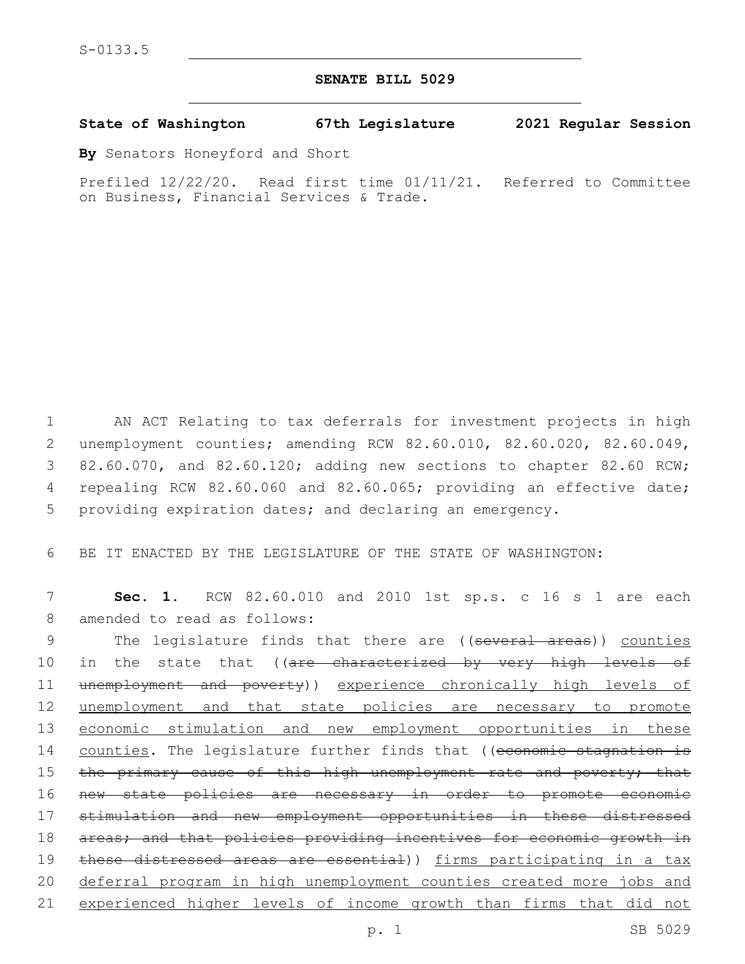## **SENATE BILL 5029**

## **State of Washington 67th Legislature 2021 Regular Session**

**By** Senators Honeyford and Short

Prefiled 12/22/20. Read first time 01/11/21. Referred to Committee on Business, Financial Services & Trade.

1 AN ACT Relating to tax deferrals for investment projects in high 2 unemployment counties; amending RCW 82.60.010, 82.60.020, 82.60.049, 3 82.60.070, and 82.60.120; adding new sections to chapter 82.60 RCW; 4 repealing RCW 82.60.060 and 82.60.065; providing an effective date; 5 providing expiration dates; and declaring an emergency.

6 BE IT ENACTED BY THE LEGISLATURE OF THE STATE OF WASHINGTON:

7 **Sec. 1.** RCW 82.60.010 and 2010 1st sp.s. c 16 s 1 are each 8 amended to read as follows:

9 The legislature finds that there are ((several areas)) counties 10 in the state that ((are characterized by very high levels of 11 unemployment and poverty)) experience chronically high levels of 12 unemployment and that state policies are necessary to promote 13 economic stimulation and new employment opportunities in these 14 counties. The legislature further finds that ((economic stagnation is 15 the primary cause of this high unemployment rate and poverty; that 16 new state policies are necessary in order to promote economic 17 stimulation and new employment opportunities in these distressed 18 areas; and that policies providing incentives for economic growth in 19 these distressed areas are essential)) firms participating in a tax 20 deferral program in high unemployment counties created more jobs and 21 experienced higher levels of income growth than firms that did not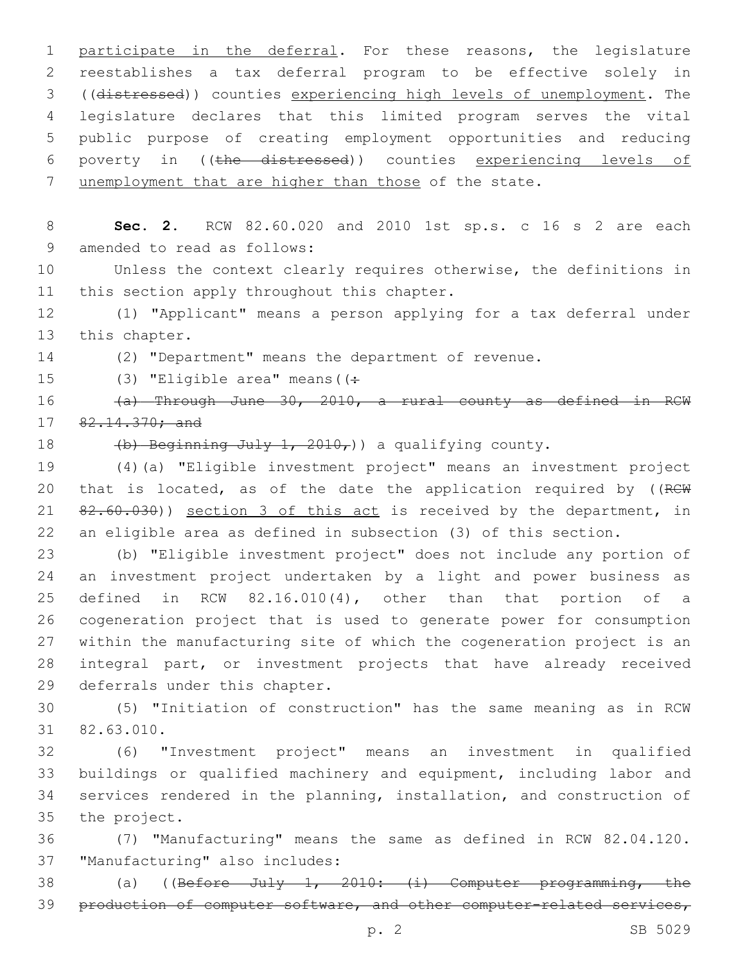participate in the deferral. For these reasons, the legislature reestablishes a tax deferral program to be effective solely in ((distressed)) counties experiencing high levels of unemployment. The legislature declares that this limited program serves the vital public purpose of creating employment opportunities and reducing poverty in ((the distressed)) counties experiencing levels of 7 unemployment that are higher than those of the state.

 **Sec. 2.** RCW 82.60.020 and 2010 1st sp.s. c 16 s 2 are each 9 amended to read as follows:

 Unless the context clearly requires otherwise, the definitions in 11 this section apply throughout this chapter.

 (1) "Applicant" means a person applying for a tax deferral under 13 this chapter.

(2) "Department" means the department of revenue.

15  $(3)$  "Eligible area" means ( $(+)$ 

 (a) Through June 30, 2010, a rural county as defined in RCW 17 82.14.370; and

18  $(b)$  Beginning July 1, 2010,) a qualifying county.

 (4)(a) "Eligible investment project" means an investment project 20 that is located, as of the date the application required by ((RCW 21 82.60.030)) section 3 of this act is received by the department, in an eligible area as defined in subsection (3) of this section.

 (b) "Eligible investment project" does not include any portion of an investment project undertaken by a light and power business as defined in RCW 82.16.010(4), other than that portion of a cogeneration project that is used to generate power for consumption within the manufacturing site of which the cogeneration project is an integral part, or investment projects that have already received 29 deferrals under this chapter.

 (5) "Initiation of construction" has the same meaning as in RCW 82.63.010.31

 (6) "Investment project" means an investment in qualified buildings or qualified machinery and equipment, including labor and services rendered in the planning, installation, and construction of 35 the project.

 (7) "Manufacturing" means the same as defined in RCW 82.04.120. 37 "Manufacturing" also includes:

 (a) ((Before July 1, 2010: (i) Computer programming, the 39 production of computer software, and other computer-related services,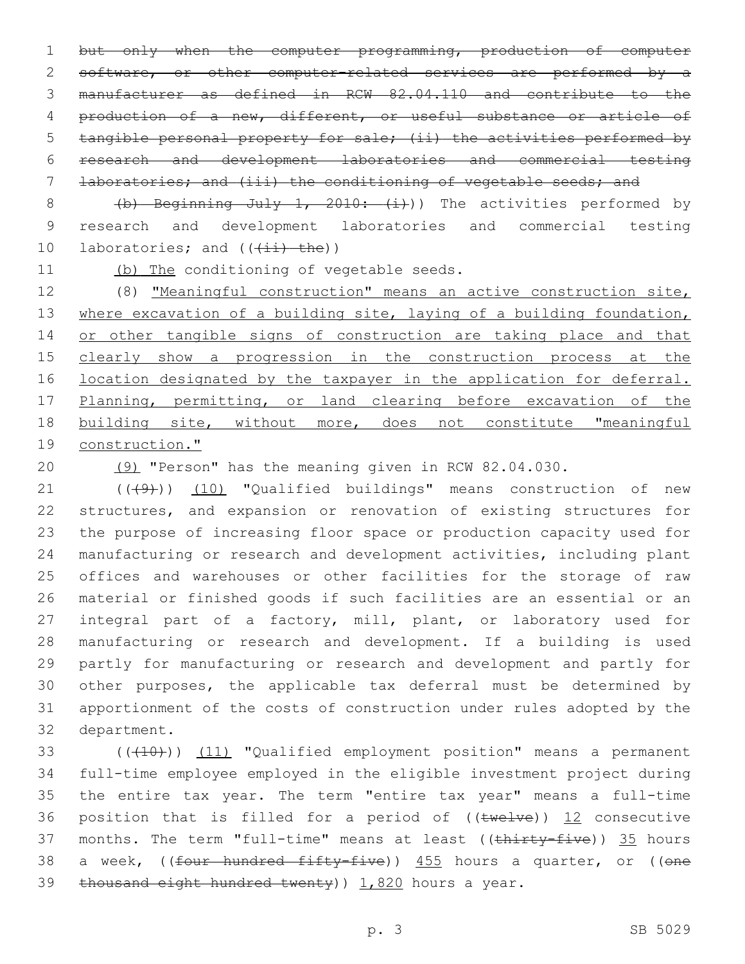1 but only when the computer programming, production of computer 2 software, or other computer-related services are performed by a manufacturer as defined in RCW 82.04.110 and contribute to the production of a new, different, or useful substance or article of tangible personal property for sale; (ii) the activities performed by research and development laboratories and commercial testing laboratories; and (iii) the conditioning of vegetable seeds; and

8 (b) Beginning July 1, 2010: (i)) The activities performed by 9 research and development laboratories and commercial testing 10 laboratories; and  $((\pm i)^{\pm}$  the))

11 (b) The conditioning of vegetable seeds.

12 (8) "Meaningful construction" means an active construction site, 13 where excavation of a building site, laying of a building foundation, 14 or other tangible signs of construction are taking place and that 15 clearly show a progression in the construction process at the 16 location designated by the taxpayer in the application for deferral. 17 Planning, permitting, or land clearing before excavation of the 18 building site, without more, does not constitute "meaningful 19 construction."

20 (9) "Person" has the meaning given in RCW 82.04.030.

21 (((49))) (10) "Qualified buildings" means construction of new structures, and expansion or renovation of existing structures for the purpose of increasing floor space or production capacity used for manufacturing or research and development activities, including plant offices and warehouses or other facilities for the storage of raw material or finished goods if such facilities are an essential or an integral part of a factory, mill, plant, or laboratory used for manufacturing or research and development. If a building is used partly for manufacturing or research and development and partly for other purposes, the applicable tax deferral must be determined by apportionment of the costs of construction under rules adopted by the 32 department.

33 (((410))) (11) "Qualified employment position" means a permanent 34 full-time employee employed in the eligible investment project during 35 the entire tax year. The term "entire tax year" means a full-time 36 position that is filled for a period of  $((\text{true1ve}))$  12 consecutive 37 months. The term "full-time" means at least ((thirty-five)) 35 hours 38 a week, ((<del>four hundred fifty-five</del>)) 455 hours a quarter, or ((one 39 thousand eight hundred twenty)  $1,820$  hours a year.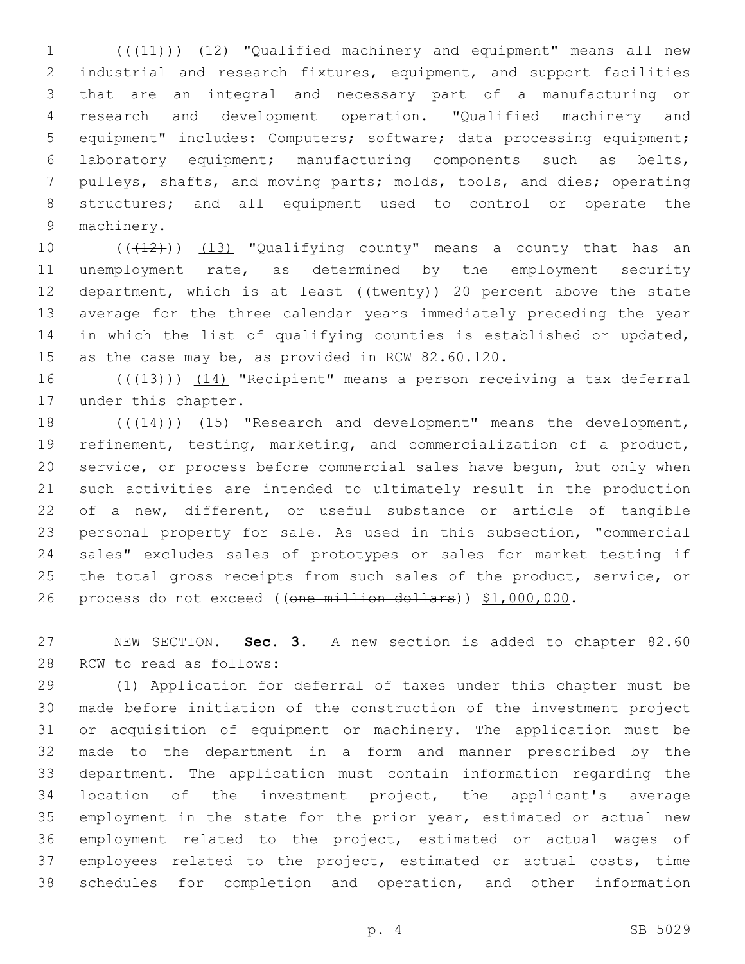(((11))) (12) "Qualified machinery and equipment" means all new industrial and research fixtures, equipment, and support facilities that are an integral and necessary part of a manufacturing or research and development operation. "Qualified machinery and equipment" includes: Computers; software; data processing equipment; laboratory equipment; manufacturing components such as belts, pulleys, shafts, and moving parts; molds, tools, and dies; operating structures; and all equipment used to control or operate the 9 machinery.

10 ((+12))) (13) "Qualifying county" means a county that has an unemployment rate, as determined by the employment security 12 department, which is at least ( $(\text{twenty})$ ) 20 percent above the state average for the three calendar years immediately preceding the year in which the list of qualifying counties is established or updated, 15 as the case may be, as provided in RCW 82.60.120.

16 ((+13))) (14) "Recipient" means a person receiving a tax deferral 17 under this chapter.

18 (( $(14)$ )) (15) "Research and development" means the development, refinement, testing, marketing, and commercialization of a product, service, or process before commercial sales have begun, but only when such activities are intended to ultimately result in the production of a new, different, or useful substance or article of tangible personal property for sale. As used in this subsection, "commercial sales" excludes sales of prototypes or sales for market testing if 25 the total gross receipts from such sales of the product, service, or 26 process do not exceed ((one million dollars)) \$1,000,000.

 NEW SECTION. **Sec. 3.** A new section is added to chapter 82.60 28 RCW to read as follows:

 (1) Application for deferral of taxes under this chapter must be made before initiation of the construction of the investment project or acquisition of equipment or machinery. The application must be made to the department in a form and manner prescribed by the department. The application must contain information regarding the location of the investment project, the applicant's average employment in the state for the prior year, estimated or actual new employment related to the project, estimated or actual wages of employees related to the project, estimated or actual costs, time schedules for completion and operation, and other information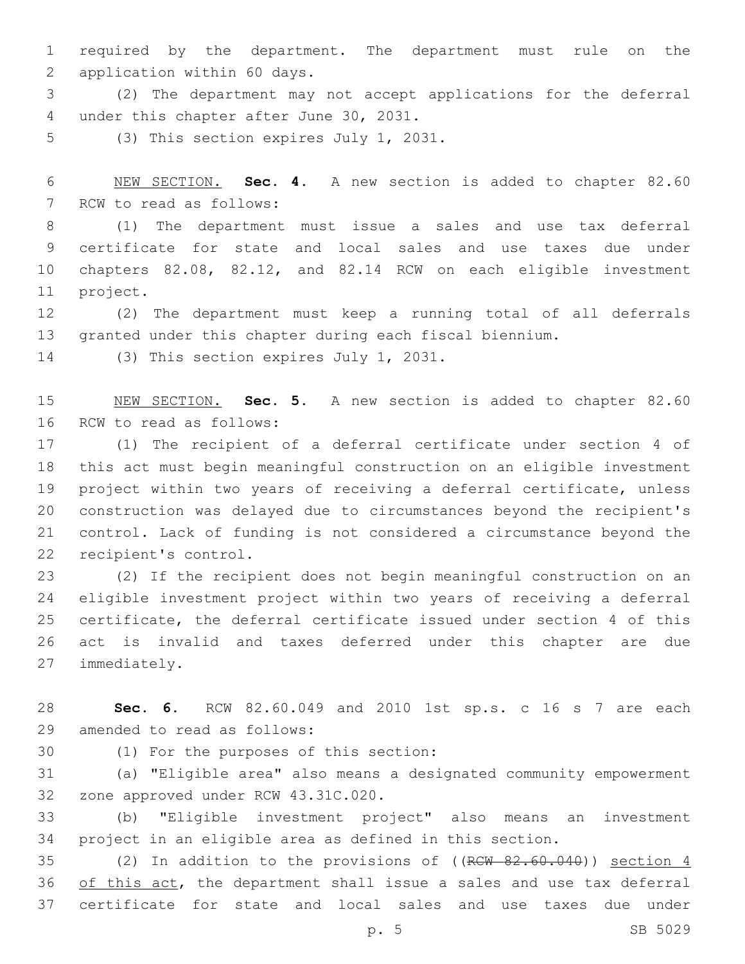required by the department. The department must rule on the 2 application within 60 days.

 (2) The department may not accept applications for the deferral 4 under this chapter after June 30, 2031.

5 (3) This section expires July 1, 2031.

 NEW SECTION. **Sec. 4.** A new section is added to chapter 82.60 7 RCW to read as follows:

 (1) The department must issue a sales and use tax deferral certificate for state and local sales and use taxes due under chapters 82.08, 82.12, and 82.14 RCW on each eligible investment 11 project.

 (2) The department must keep a running total of all deferrals granted under this chapter during each fiscal biennium.

14 (3) This section expires July 1, 2031.

 NEW SECTION. **Sec. 5.** A new section is added to chapter 82.60 16 RCW to read as follows:

 (1) The recipient of a deferral certificate under section 4 of this act must begin meaningful construction on an eligible investment project within two years of receiving a deferral certificate, unless construction was delayed due to circumstances beyond the recipient's control. Lack of funding is not considered a circumstance beyond the 22 recipient's control.

 (2) If the recipient does not begin meaningful construction on an eligible investment project within two years of receiving a deferral certificate, the deferral certificate issued under section 4 of this act is invalid and taxes deferred under this chapter are due 27 immediately.

 **Sec. 6.** RCW 82.60.049 and 2010 1st sp.s. c 16 s 7 are each 29 amended to read as follows:

(1) For the purposes of this section:30

 (a) "Eligible area" also means a designated community empowerment 32 zone approved under RCW 43.31C.020.

 (b) "Eligible investment project" also means an investment project in an eligible area as defined in this section.

35 (2) In addition to the provisions of ((RCW 82.60.040)) section 4 36 of this act, the department shall issue a sales and use tax deferral certificate for state and local sales and use taxes due under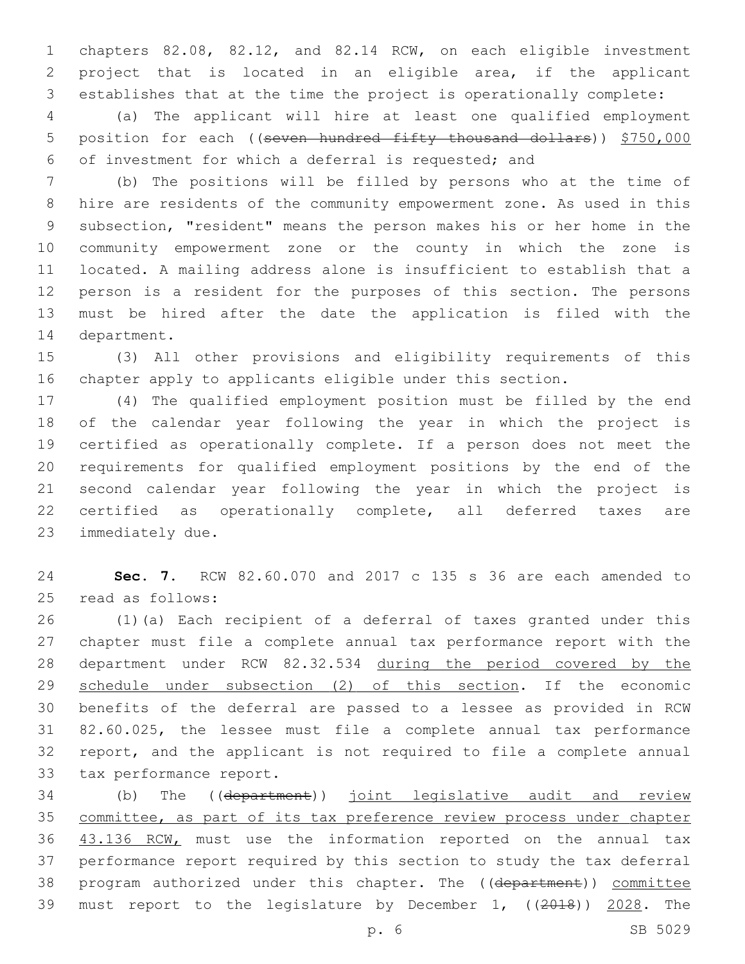chapters 82.08, 82.12, and 82.14 RCW, on each eligible investment project that is located in an eligible area, if the applicant establishes that at the time the project is operationally complete:

 (a) The applicant will hire at least one qualified employment 5 position for each ((seven hundred fifty thousand dollars)) \$750,000 of investment for which a deferral is requested; and

 (b) The positions will be filled by persons who at the time of hire are residents of the community empowerment zone. As used in this subsection, "resident" means the person makes his or her home in the community empowerment zone or the county in which the zone is located. A mailing address alone is insufficient to establish that a person is a resident for the purposes of this section. The persons must be hired after the date the application is filed with the 14 department.

 (3) All other provisions and eligibility requirements of this chapter apply to applicants eligible under this section.

 (4) The qualified employment position must be filled by the end of the calendar year following the year in which the project is certified as operationally complete. If a person does not meet the requirements for qualified employment positions by the end of the second calendar year following the year in which the project is certified as operationally complete, all deferred taxes are 23 immediately due.

 **Sec. 7.** RCW 82.60.070 and 2017 c 135 s 36 are each amended to 25 read as follows:

 (1)(a) Each recipient of a deferral of taxes granted under this chapter must file a complete annual tax performance report with the department under RCW 82.32.534 during the period covered by the 29 schedule under subsection (2) of this section. If the economic benefits of the deferral are passed to a lessee as provided in RCW 82.60.025, the lessee must file a complete annual tax performance report, and the applicant is not required to file a complete annual 33 tax performance report.

 (b) The ((department)) joint legislative audit and review committee, as part of its tax preference review process under chapter 43.136 RCW, must use the information reported on the annual tax performance report required by this section to study the tax deferral 38 program authorized under this chapter. The ((department)) committee 39 must report to the legislature by December 1, ((2018)) 2028. The

p. 6 SB 5029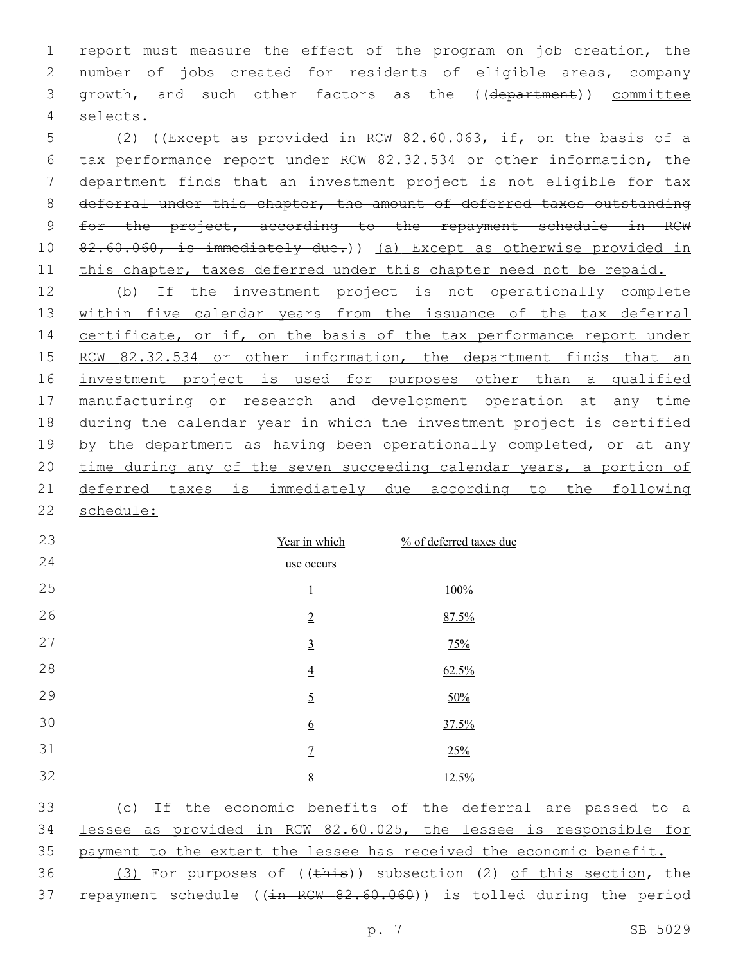report must measure the effect of the program on job creation, the number of jobs created for residents of eligible areas, company 3 growth, and such other factors as the ((department)) committee selects.4

 (2) ((Except as provided in RCW 82.60.063, if, on the basis of a tax performance report under RCW 82.32.534 or other information, the department finds that an investment project is not eligible for tax 8 deferral under this chapter, the amount of deferred taxes outstanding for the project, according to the repayment schedule in RCW 10 82.60.060, is immediately due.)) (a) Except as otherwise provided in 11 this chapter, taxes deferred under this chapter need not be repaid.

 (b) If the investment project is not operationally complete 13 within five calendar years from the issuance of the tax deferral 14 certificate, or if, on the basis of the tax performance report under 15 RCW 82.32.534 or other information, the department finds that an investment project is used for purposes other than a qualified manufacturing or research and development operation at any time during the calendar year in which the investment project is certified 19 by the department as having been operationally completed, or at any time during any of the seven succeeding calendar years, a portion of deferred taxes is immediately due according to the following schedule:

| 23 | Year in which   | % of deferred taxes due |
|----|-----------------|-------------------------|
| 24 | use occurs      |                         |
| 25 | $\overline{1}$  | 100%                    |
| 26 | $\overline{2}$  | 87.5%                   |
| 27 | $\underline{3}$ | 75%                     |
| 28 | $\overline{4}$  | 62.5%                   |
| 29 | $\overline{2}$  | 50%                     |
| 30 | $\underline{6}$ | 37.5%                   |
| 31 | $\overline{1}$  | 25%                     |
| 32 | 8               | 12.5%                   |

 (c) If the economic benefits of the deferral are passed to a lessee as provided in RCW 82.60.025, the lessee is responsible for payment to the extent the lessee has received the economic benefit. 36 (3) For purposes of  $((\overline{\text{this}}))$  subsection (2) of this section, the 37 repayment schedule ((in RCW 82.60.060)) is tolled during the period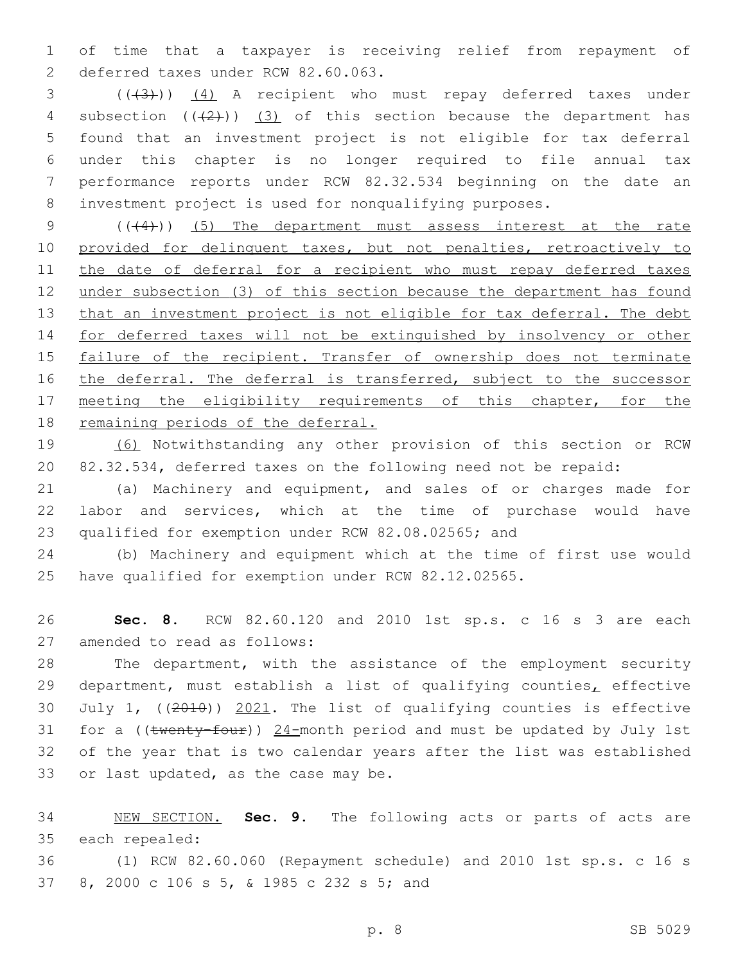of time that a taxpayer is receiving relief from repayment of 2 deferred taxes under RCW 82.60.063.

3 (((3)) (4) A recipient who must repay deferred taxes under 4 subsection  $((2+))$   $(3)$  of this section because the department has found that an investment project is not eligible for tax deferral under this chapter is no longer required to file annual tax performance reports under RCW 82.32.534 beginning on the date an investment project is used for nonqualifying purposes.

9 (( $(4)$ )) (5) The department must assess interest at the rate 10 provided for delinquent taxes, but not penalties, retroactively to 11 the date of deferral for a recipient who must repay deferred taxes under subsection (3) of this section because the department has found 13 that an investment project is not eligible for tax deferral. The debt for deferred taxes will not be extinguished by insolvency or other 15 failure of the recipient. Transfer of ownership does not terminate 16 the deferral. The deferral is transferred, subject to the successor 17 meeting the eligibility requirements of this chapter, for the remaining periods of the deferral.

 (6) Notwithstanding any other provision of this section or RCW 82.32.534, deferred taxes on the following need not be repaid:

 (a) Machinery and equipment, and sales of or charges made for labor and services, which at the time of purchase would have qualified for exemption under RCW 82.08.02565; and

 (b) Machinery and equipment which at the time of first use would have qualified for exemption under RCW 82.12.02565.

 **Sec. 8.** RCW 82.60.120 and 2010 1st sp.s. c 16 s 3 are each 27 amended to read as follows:

 The department, with the assistance of the employment security department, must establish a list of qualifying counties, effective July 1, ((2010)) 2021. The list of qualifying counties is effective 31 for a (( $t$ wenty-four))  $24$ -month period and must be updated by July 1st of the year that is two calendar years after the list was established 33 or last updated, as the case may be.

 NEW SECTION. **Sec. 9.** The following acts or parts of acts are each repealed:

 (1) RCW 82.60.060 (Repayment schedule) and 2010 1st sp.s. c 16 s 37 8, 2000 c 106 s 5, & 1985 c 232 s 5; and